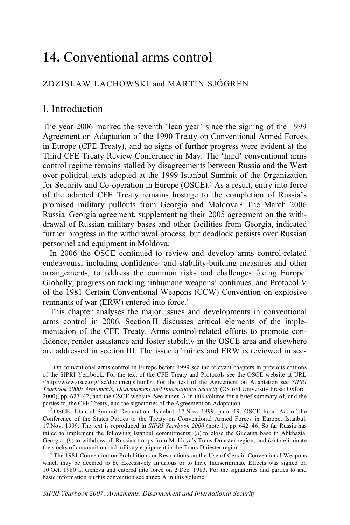# **14.** Conventional arms control

# ZDZISLAW LACHOWSKI and MARTIN SJÖGREN

# I. Introduction

The year 2006 marked the seventh 'lean year' since the signing of the 1999 Agreement on Adaptation of the 1990 Treaty on Conventional Armed Forces in Europe (CFE Treaty), and no signs of further progress were evident at the Third CFE Treaty Review Conference in May. The 'hard' conventional arms control regime remains stalled by disagreements between Russia and the West over political texts adopted at the 1999 Istanbul Summit of the Organization for Security and Co-operation in Europe (OSCE).1 As a result, entry into force of the adapted CFE Treaty remains hostage to the completion of Russia's promised military pullouts from Georgia and Moldova.2 The March 2006 Russia–Georgia agreement, supplementing their 2005 agreement on the withdrawal of Russian military bases and other facilities from Georgia, indicated further progress in the withdrawal process, but deadlock persists over Russian personnel and equipment in Moldova.

In 2006 the OSCE continued to review and develop arms control-related endeavours, including confidence- and stability-building measures and other arrangements, to address the common risks and challenges facing Europe. Globally, progress on tackling 'inhumane weapons' continues, and Protocol V of the 1981 Certain Conventional Weapons (CCW) Convention on explosive remnants of war (ERW) entered into force.3

This chapter analyses the major issues and developments in conventional arms control in 2006. Section II discusses critical elements of the implementation of the CFE Treaty. Arms control-related efforts to promote confidence, render assistance and foster stability in the OSCE area and elsewhere are addressed in section III. The issue of mines and ERW is reviewed in sec-

<sup>2</sup> OSCE, Istanbul Summit Declaration, Istanbul, 17 Nov. 1999, para. 19; OSCE Final Act of the Conference of the States Parties to the Treaty on Conventional Armed Forces in Europe, Istanbul, 17 Nov. 1999. The text is reproduced in *SIPRI Yearbook 2000* (note 1), pp. 642–46. So far Russia has failed to implement the following Istanbul commitments: (*a*) to close the Gudauta base in Abkhazia, Georgia; (*b*) to withdraw all Russian troops from Moldova's Trans-Dniester region; and (*c*) to eliminate the stocks of ammunition and military equipment in the Trans-Dniester region.<br><sup>3</sup> The 1981 Convention on Prohibitions or Restrictions on the Use of Certain Conventional Weapons

which may be deemed to be Excessively Injurious or to have Indiscriminate Effects was signed on 10 Oct. 1980 at Geneva and entered into force on 2 Dec. 1983. For the signatories and parties to and basic information on this convention see annex A in this volume.

 $<sup>1</sup>$  On conventional arms control in Europe before 1999 see the relevant chapters in previous editions</sup> of the SIPRI Yearbook. For the text of the CFE Treaty and Protocols see the OSCE website at URL  $\text{tdt}$ thtp://www.osce.org/fsc/documents.html>. For the text of the Agreement on Adaptation see *SIPRI Yearbook 2000: Armaments, Disarmament and International Security* (Oxford University Press: Oxford, 2000), pp. 627–42; and the OSCE website. See annex A in this volume for a brief summary of, and the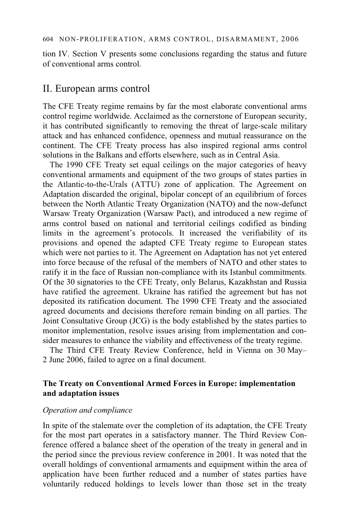tion IV. Section V presents some conclusions regarding the status and future of conventional arms control.

# II. European arms control

The CFE Treaty regime remains by far the most elaborate conventional arms control regime worldwide. Acclaimed as the cornerstone of European security, it has contributed significantly to removing the threat of large-scale military attack and has enhanced confidence, openness and mutual reassurance on the continent. The CFE Treaty process has also inspired regional arms control solutions in the Balkans and efforts elsewhere, such as in Central Asia.

The 1990 CFE Treaty set equal ceilings on the major categories of heavy conventional armaments and equipment of the two groups of states parties in the Atlantic-to-the-Urals (ATTU) zone of application. The Agreement on Adaptation discarded the original, bipolar concept of an equilibrium of forces between the North Atlantic Treaty Organization (NATO) and the now-defunct Warsaw Treaty Organization (Warsaw Pact), and introduced a new regime of arms control based on national and territorial ceilings codified as binding limits in the agreement's protocols. It increased the verifiability of its provisions and opened the adapted CFE Treaty regime to European states which were not parties to it. The Agreement on Adaptation has not yet entered into force because of the refusal of the members of NATO and other states to ratify it in the face of Russian non-compliance with its Istanbul commitments. Of the 30 signatories to the CFE Treaty, only Belarus, Kazakhstan and Russia have ratified the agreement. Ukraine has ratified the agreement but has not deposited its ratification document. The 1990 CFE Treaty and the associated agreed documents and decisions therefore remain binding on all parties. The Joint Consultative Group (JCG) is the body established by the states parties to monitor implementation, resolve issues arising from implementation and consider measures to enhance the viability and effectiveness of the treaty regime.

The Third CFE Treaty Review Conference, held in Vienna on 30 May– 2 June 2006, failed to agree on a final document.

# **The Treaty on Conventional Armed Forces in Europe: implementation and adaptation issues**

# *Operation and compliance*

In spite of the stalemate over the completion of its adaptation, the CFE Treaty for the most part operates in a satisfactory manner. The Third Review Conference offered a balance sheet of the operation of the treaty in general and in the period since the previous review conference in 2001. It was noted that the overall holdings of conventional armaments and equipment within the area of application have been further reduced and a number of states parties have voluntarily reduced holdings to levels lower than those set in the treaty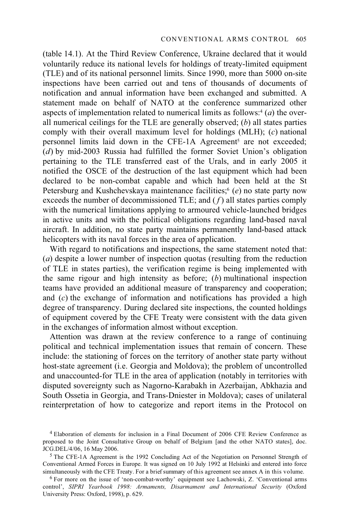(table 14.1). At the Third Review Conference, Ukraine declared that it would voluntarily reduce its national levels for holdings of treaty-limited equipment (TLE) and of its national personnel limits. Since 1990, more than 5000 on-site inspections have been carried out and tens of thousands of documents of notification and annual information have been exchanged and submitted. A statement made on behalf of NATO at the conference summarized other aspects of implementation related to numerical limits as follows: $4(a)$  the overall numerical ceilings for the TLE are generally observed; (*b*) all states parties comply with their overall maximum level for holdings (MLH); (*c*) national personnel limits laid down in the CFE-1A Agreement<sup>5</sup> are not exceeded; (*d*) by mid-2003 Russia had fulfilled the former Soviet Union's obligation pertaining to the TLE transferred east of the Urals, and in early 2005 it notified the OSCE of the destruction of the last equipment which had been declared to be non-combat capable and which had been held at the St Petersburg and Kushchevskaya maintenance facilities;<sup>6</sup> (*e*) no state party now exceeds the number of decommissioned TLE; and  $(f)$  all states parties comply with the numerical limitations applying to armoured vehicle-launched bridges in active units and with the political obligations regarding land-based naval aircraft. In addition, no state party maintains permanently land-based attack helicopters with its naval forces in the area of application.

With regard to notifications and inspections, the same statement noted that: (*a*) despite a lower number of inspection quotas (resulting from the reduction of TLE in states parties), the verification regime is being implemented with the same rigour and high intensity as before; (*b*) multinational inspection teams have provided an additional measure of transparency and cooperation; and (*c*) the exchange of information and notifications has provided a high degree of transparency. During declared site inspections, the counted holdings of equipment covered by the CFE Treaty were consistent with the data given in the exchanges of information almost without exception.

Attention was drawn at the review conference to a range of continuing political and technical implementation issues that remain of concern. These include: the stationing of forces on the territory of another state party without host-state agreement (i.e. Georgia and Moldova); the problem of uncontrolled and unaccounted-for TLE in the area of application (notably in territories with disputed sovereignty such as Nagorno-Karabakh in Azerbaijan, Abkhazia and South Ossetia in Georgia, and Trans-Dniester in Moldova); cases of unilateral reinterpretation of how to categorize and report items in the Protocol on

<sup>4</sup> Elaboration of elements for inclusion in a Final Document of 2006 CFE Review Conference as proposed to the Joint Consultative Group on behalf of Belgium [and the other NATO states], doc. JCG.DEL/4/06, 16 May 2006.

 $<sup>5</sup>$  The CFE-1A Agreement is the 1992 Concluding Act of the Negotiation on Personnel Strength of</sup> Conventional Armed Forces in Europe. It was signed on 10 July 1992 at Helsinki and entered into force simultaneously with the CFE Treaty. For a brief summary of this agreement see annex A in this volume.

 $6$  For more on the issue of 'non-combat-worthy' equipment see Lachowski, Z. 'Conventional arms control', *SIPRI Yearbook 1998: Armaments, Disarmament and International Security* (Oxford University Press: Oxford, 1998), p. 629.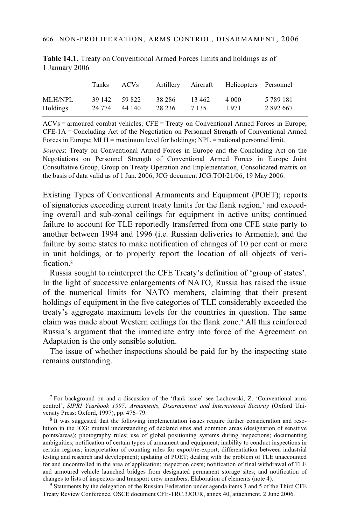|          | Tanks         | ACV <sub>s</sub> |         |       | Artillery Aircraft Helicopters Personnel |               |
|----------|---------------|------------------|---------|-------|------------------------------------------|---------------|
| MLH/NPL  | 39 142        | 59 822           | 38 286  | 13462 | 4 000                                    | 5 7 8 9 1 8 1 |
| Holdings | 24 774 44 140 |                  | 28 23 6 | 7135  | 1971                                     | 2 892 667     |

**Table 14.1.** Treaty on Conventional Armed Forces limits and holdings as of 1 January 2006

 $ACVs =$  armoured combat vehicles;  $CFE = Treatv$  on Conventional Armed Forces in Europe; CFE-1A = Concluding Act of the Negotiation on Personnel Strength of Conventional Armed Forces in Europe; MLH = maximum level for holdings; NPL = national personnel limit.

*Sources*: Treaty on Conventional Armed Forces in Europe and the Concluding Act on the Negotiations on Personnel Strength of Conventional Armed Forces in Europe Joint Consultative Group, Group on Treaty Operation and Implementation, Consolidated matrix on the basis of data valid as of 1 Jan. 2006, JCG document JCG.TOI/21/06, 19 May 2006.

Existing Types of Conventional Armaments and Equipment (POET); reports of signatories exceeding current treaty limits for the flank region,7 and exceeding overall and sub-zonal ceilings for equipment in active units; continued failure to account for TLE reportedly transferred from one CFE state party to another between 1994 and 1996 (i.e. Russian deliveries to Armenia); and the failure by some states to make notification of changes of 10 per cent or more in unit holdings, or to properly report the location of all objects of verification.<sup>8</sup>

Russia sought to reinterpret the CFE Treaty's definition of 'group of states'. In the light of successive enlargements of NATO, Russia has raised the issue of the numerical limits for NATO members, claiming that their present holdings of equipment in the five categories of TLE considerably exceeded the treaty's aggregate maximum levels for the countries in question. The same claim was made about Western ceilings for the flank zone.9 All this reinforced Russia's argument that the immediate entry into force of the Agreement on Adaptation is the only sensible solution.

The issue of whether inspections should be paid for by the inspecting state remains outstanding.

7 For background on and a discussion of the 'flank issue' see Lachowski, Z. 'Conventional arms control', *SIPRI Yearbook 1997: Armaments, Disarmament and International Security* (Oxford University Press: Oxford, 1997), pp. 476–79.

<sup>8</sup> It was suggested that the following implementation issues require further consideration and resolution in the JCG: mutual understanding of declared sites and common areas (designation of sensitive points/areas); photography rules; use of global positioning systems during inspections; documenting ambiguities; notification of certain types of armament and equipment; inability to conduct inspections in certain regions; interpretation of counting rules for export/re-export; differentiation between industrial testing and research and development; updating of POET; dealing with the problem of TLE unaccounted for and uncontrolled in the area of application; inspection costs; notification of final withdrawal of TLE and armoured vehicle launched bridges from designated permanent storage sites; and notification of changes to lists of inspectors and transport crew members. Elaboration of elements (note 4).

 $9$  Statements by the delegation of the Russian Federation under agenda items 3 and 5 of the Third CFE Treaty Review Conference, OSCE document CFE-TRC.3JOUR, annex 40, attachment, 2 June 2006.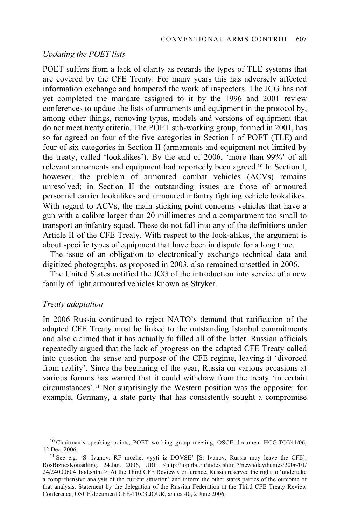#### *Updating the POET lists*

POET suffers from a lack of clarity as regards the types of TLE systems that are covered by the CFE Treaty. For many years this has adversely affected information exchange and hampered the work of inspectors. The JCG has not yet completed the mandate assigned to it by the 1996 and 2001 review conferences to update the lists of armaments and equipment in the protocol by, among other things, removing types, models and versions of equipment that do not meet treaty criteria. The POET sub-working group, formed in 2001, has so far agreed on four of the five categories in Section I of POET (TLE) and four of six categories in Section II (armaments and equipment not limited by the treaty, called 'lookalikes'). By the end of 2006, 'more than 99%' of all relevant armaments and equipment had reportedly been agreed.10 In Section I, however, the problem of armoured combat vehicles (ACVs) remains unresolved; in Section II the outstanding issues are those of armoured personnel carrier lookalikes and armoured infantry fighting vehicle lookalikes. With regard to ACVs, the main sticking point concerns vehicles that have a gun with a calibre larger than 20 millimetres and a compartment too small to transport an infantry squad. These do not fall into any of the definitions under Article II of the CFE Treaty. With respect to the look-alikes, the argument is about specific types of equipment that have been in dispute for a long time.

The issue of an obligation to electronically exchange technical data and digitized photographs, as proposed in 2003, also remained unsettled in 2006.

The United States notified the JCG of the introduction into service of a new family of light armoured vehicles known as Stryker.

# *Treaty adaptation*

In 2006 Russia continued to reject NATO's demand that ratification of the adapted CFE Treaty must be linked to the outstanding Istanbul commitments and also claimed that it has actually fulfilled all of the latter. Russian officials repeatedly argued that the lack of progress on the adapted CFE Treaty called into question the sense and purpose of the CFE regime, leaving it 'divorced from reality'. Since the beginning of the year, Russia on various occasions at various forums has warned that it could withdraw from the treaty 'in certain circumstances'.11 Not surprisingly the Western position was the opposite: for example, Germany, a state party that has consistently sought a compromise

 $10$  Chairman's speaking points, POET working group meeting, OSCE document HCG.TOI/41/06, 12 Dec. 2006.

<sup>&</sup>lt;sup>11</sup> See e.g. 'S. Ivanov: RF mozhet vyyti iz DOVSE' [S. Ivanov: Russia may leave the CFE], RosBiznesKonsalting, 24 Jan. 2006, URL <http://top.rbc.ru/index.shtml?/news/daythemes/2006/01/ 24/24000604\_bod.shtml>. At the Third CFE Review Conference, Russia reserved the right to 'undertake a comprehensive analysis of the current situation' and inform the other states parties of the outcome of that analysis. Statement by the delegation of the Russian Federation at the Third CFE Treaty Review Conference, OSCE document CFE-TRC3.JOUR, annex 40, 2 June 2006.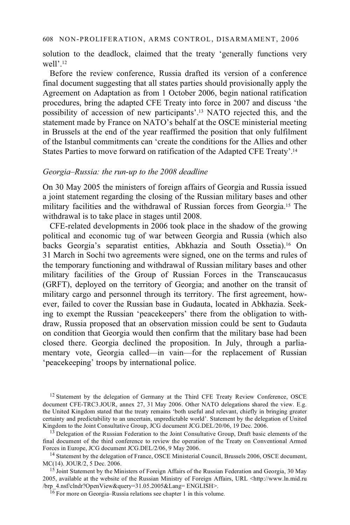#### 608 NON-PROLIFERATION, ARMS CONTROL, DISARMAMENT, 2006

solution to the deadlock, claimed that the treaty 'generally functions very well'.12

Before the review conference, Russia drafted its version of a conference final document suggesting that all states parties should provisionally apply the Agreement on Adaptation as from 1 October 2006, begin national ratification procedures, bring the adapted CFE Treaty into force in 2007 and discuss 'the possibility of accession of new participants'.13 NATO rejected this, and the statement made by France on NATO's behalf at the OSCE ministerial meeting in Brussels at the end of the year reaffirmed the position that only fulfilment of the Istanbul commitments can 'create the conditions for the Allies and other States Parties to move forward on ratification of the Adapted CFE Treaty'.14

### *Georgia–Russia: the run-up to the 2008 deadline*

On 30 May 2005 the ministers of foreign affairs of Georgia and Russia issued a joint statement regarding the closing of the Russian military bases and other military facilities and the withdrawal of Russian forces from Georgia.15 The withdrawal is to take place in stages until 2008.

CFE-related developments in 2006 took place in the shadow of the growing political and economic tug of war between Georgia and Russia (which also backs Georgia's separatist entities, Abkhazia and South Ossetia).16 On 31 March in Sochi two agreements were signed, one on the terms and rules of the temporary functioning and withdrawal of Russian military bases and other military facilities of the Group of Russian Forces in the Transcaucasus (GRFT), deployed on the territory of Georgia; and another on the transit of military cargo and personnel through its territory. The first agreement, however, failed to cover the Russian base in Gudauta, located in Abkhazia. Seeking to exempt the Russian 'peacekeepers' there from the obligation to withdraw, Russia proposed that an observation mission could be sent to Gudauta on condition that Georgia would then confirm that the military base had been closed there. Georgia declined the proposition. In July, through a parliamentary vote, Georgia called—in vain—for the replacement of Russian 'peacekeeping' troops by international police.

<sup>12</sup> Statement by the delegation of Germany at the Third CFE Treaty Review Conference, OSCE document CFE-TRC3.JOUR, annex 27, 31 May 2006. Other NATO delegations shared the view. E.g. the United Kingdom stated that the treaty remains 'both useful and relevant, chiefly in bringing greater certainty and predictability to an uncertain, unpredictable world'. Statement by the delegation of United Kingdom to the Joint Consultative Group, JCG document JCG.DEL/20/06, 19 Dec. 2006.

<sup>13</sup> Delegation of the Russian Federation to the Joint Consultative Group, Draft basic elements of the final document of the third conference to review the operation of the Treaty on Conventional Armed Forces in Europe, JCG document JCG.DEL/2/06, 9 May 2006.

<sup>14</sup> Statement by the delegation of France, OSCE Ministerial Council, Brussels 2006, OSCE document,  $MC(14)$ . JOUR/2, 5 Dec. 2006.

<sup>15</sup> Joint Statement by the Ministers of Foreign Affairs of the Russian Federation and Georgia, 30 May 2005, available at the website of the Russian Ministry of Foreign Affairs, URL <http://www.ln.mid.ru /brp\_4.nsf/clndr?OpenView&query=31.05.2005&Lang= ENGLISH>. 16 For more on Georgia–Russia relations see chapter 1 in this volume.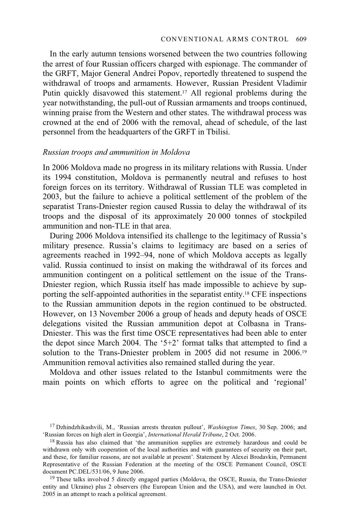In the early autumn tensions worsened between the two countries following the arrest of four Russian officers charged with espionage. The commander of the GRFT, Major General Andrei Popov, reportedly threatened to suspend the withdrawal of troops and armaments. However, Russian President Vladimir Putin quickly disavowed this statement.<sup>17</sup> All regional problems during the year notwithstanding, the pull-out of Russian armaments and troops continued, winning praise from the Western and other states. The withdrawal process was crowned at the end of 2006 with the removal, ahead of schedule, of the last personnel from the headquarters of the GRFT in Tbilisi.

#### *Russian troops and ammunition in Moldova*

In 2006 Moldova made no progress in its military relations with Russia. Under its 1994 constitution, Moldova is permanently neutral and refuses to host foreign forces on its territory. Withdrawal of Russian TLE was completed in 2003, but the failure to achieve a political settlement of the problem of the separatist Trans-Dniester region caused Russia to delay the withdrawal of its troops and the disposal of its approximately 20 000 tonnes of stockpiled ammunition and non-TLE in that area.

During 2006 Moldova intensified its challenge to the legitimacy of Russia's military presence. Russia's claims to legitimacy are based on a series of agreements reached in 1992–94, none of which Moldova accepts as legally valid. Russia continued to insist on making the withdrawal of its forces and ammunition contingent on a political settlement on the issue of the Trans-Dniester region, which Russia itself has made impossible to achieve by supporting the self-appointed authorities in the separatist entity.18 CFE inspections to the Russian ammunition depots in the region continued to be obstructed. However, on 13 November 2006 a group of heads and deputy heads of OSCE delegations visited the Russian ammunition depot at Colbasna in Trans-Dniester. This was the first time OSCE representatives had been able to enter the depot since March 2004. The '5+2' format talks that attempted to find a solution to the Trans-Dniester problem in 2005 did not resume in 2006.19 Ammunition removal activities also remained stalled during the year.

Moldova and other issues related to the Istanbul commitments were the main points on which efforts to agree on the political and 'regional'

<sup>19</sup> These talks involved 5 directly engaged parties (Moldova, the OSCE, Russia, the Trans-Dniester entity and Ukraine) plus 2 observers (the European Union and the USA), and were launched in Oct. 2005 in an attempt to reach a political agreement.

<sup>&</sup>lt;sup>17</sup> Dzhindzhikashvili, M., 'Russian arrests threaten pullout', *Washington Times*, 30 Sep. 2006; and 'Russian forces on high alert in Georgia', *International Herald Tribune*, 2 Oct. 2006.

<sup>&</sup>lt;sup>18</sup> Russia has also claimed that 'the ammunition supplies are extremely hazardous and could be withdrawn only with cooperation of the local authorities and with guarantees of security on their part, and these, for familiar reasons, are not available at present'. Statement by Alexei Brodavkin, Permanent Representative of the Russian Federation at the meeting of the OSCE Permanent Council, OSCE document PC.DEL/531/06.9 June 2006.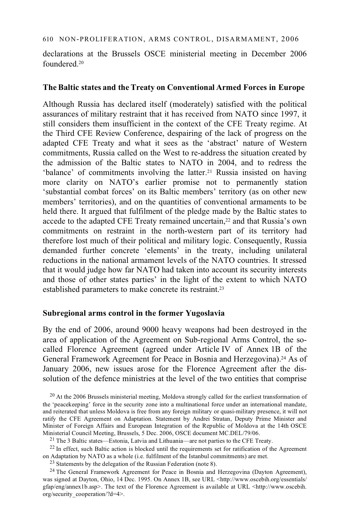declarations at the Brussels OSCE ministerial meeting in December 2006 foundered<sup>20</sup>

# **The Baltic states and the Treaty on Conventional Armed Forces in Europe**

Although Russia has declared itself (moderately) satisfied with the political assurances of military restraint that it has received from NATO since 1997, it still considers them insufficient in the context of the CFE Treaty regime. At the Third CFE Review Conference, despairing of the lack of progress on the adapted CFE Treaty and what it sees as the 'abstract' nature of Western commitments, Russia called on the West to re-address the situation created by the admission of the Baltic states to NATO in 2004, and to redress the 'balance' of commitments involving the latter.21 Russia insisted on having more clarity on NATO's earlier promise not to permanently station 'substantial combat forces' on its Baltic members' territory (as on other new members' territories), and on the quantities of conventional armaments to be held there. It argued that fulfilment of the pledge made by the Baltic states to accede to the adapted CFE Treaty remained uncertain,<sup>22</sup> and that Russia's own commitments on restraint in the north-western part of its territory had therefore lost much of their political and military logic. Consequently, Russia demanded further concrete 'elements' in the treaty, including unilateral reductions in the national armament levels of the NATO countries. It stressed that it would judge how far NATO had taken into account its security interests and those of other states parties' in the light of the extent to which NATO established parameters to make concrete its restraint.23

#### **Subregional arms control in the former Yugoslavia**

By the end of 2006, around 9000 heavy weapons had been destroyed in the area of application of the Agreement on Sub-regional Arms Control, the socalled Florence Agreement (agreed under Article IV of Annex 1B of the General Framework Agreement for Peace in Bosnia and Herzegovina).24 As of January 2006, new issues arose for the Florence Agreement after the dissolution of the defence ministries at the level of the two entities that comprise

<sup>20</sup> At the 2006 Brussels ministerial meeting, Moldova strongly called for the earliest transformation of the 'peacekeeping' force in the security zone into a multinational force under an international mandate, and reiterated that unless Moldova is free from any foreign military or quasi-military presence, it will not ratify the CFE Agreement on Adaptation. Statement by Andrei Stratan, Deputy Prime Minister and Minister of Foreign Affairs and European Integration of the Republic of Moldova at the 14th OSCE

<sup>21</sup> The 3 Baltic states—Estonia, Latvia and Lithuania—are not parties to the CFE Treaty.

 $^{22}$  In effect, such Baltic action is blocked until the requirements set for ratification of the Agreement on Adaptation by NATO as a whole (i.e. fulfilment of the Istanbul commitments) are met.

23 Statements by the delegation of the Russian Federation (note 8).

<sup>24</sup> The General Framework Agreement for Peace in Bosnia and Herzegovina (Dayton Agreement), was signed at Dayton, Ohio, 14 Dec. 1995. On Annex 1B, see URL <http://www.oscebih.org/essentials/ gfap/eng/annex1b.asp>. The text of the Florence Agreement is available at URL <http://www.oscebih. org/security\_cooperation/?d=4>.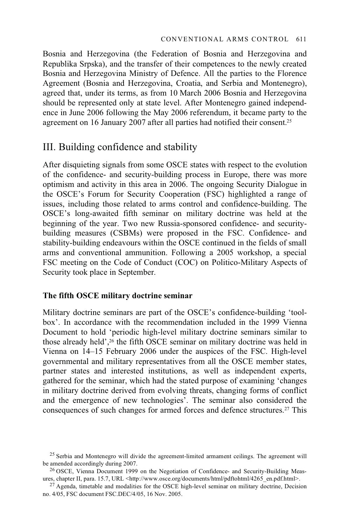Bosnia and Herzegovina (the Federation of Bosnia and Herzegovina and Republika Srpska), and the transfer of their competences to the newly created Bosnia and Herzegovina Ministry of Defence. All the parties to the Florence Agreement (Bosnia and Herzegovina, Croatia, and Serbia and Montenegro), agreed that, under its terms, as from 10 March 2006 Bosnia and Herzegovina should be represented only at state level. After Montenegro gained independence in June 2006 following the May 2006 referendum, it became party to the agreement on 16 January 2007 after all parties had notified their consent.25

# III. Building confidence and stability

After disquieting signals from some OSCE states with respect to the evolution of the confidence- and security-building process in Europe, there was more optimism and activity in this area in 2006. The ongoing Security Dialogue in the OSCE's Forum for Security Cooperation (FSC) highlighted a range of issues, including those related to arms control and confidence-building. The OSCE's long-awaited fifth seminar on military doctrine was held at the beginning of the year. Two new Russia-sponsored confidence- and securitybuilding measures (CSBMs) were proposed in the FSC. Confidence- and stability-building endeavours within the OSCE continued in the fields of small arms and conventional ammunition. Following a 2005 workshop, a special FSC meeting on the Code of Conduct (COC) on Politico-Military Aspects of Security took place in September.

### **The fifth OSCE military doctrine seminar**

Military doctrine seminars are part of the OSCE's confidence-building 'toolbox'. In accordance with the recommendation included in the 1999 Vienna Document to hold 'periodic high-level military doctrine seminars similar to those already held',26 the fifth OSCE seminar on military doctrine was held in Vienna on 14–15 February 2006 under the auspices of the FSC. High-level governmental and military representatives from all the OSCE member states, partner states and interested institutions, as well as independent experts, gathered for the seminar, which had the stated purpose of examining 'changes in military doctrine derived from evolving threats, changing forms of conflict and the emergence of new technologies'. The seminar also considered the consequences of such changes for armed forces and defence structures.<sup>27</sup> This

<sup>&</sup>lt;sup>25</sup> Serbia and Montenegro will divide the agreement-limited armament ceilings. The agreement will

be amended accordingly during 2007.<br><sup>26</sup> OSCE, Vienna Document 1999 on the Negotiation of Confidence- and Security-Building Meas-<br>ures, chapter II, para. 15.7, URL <http://www.osce.org/documents/html/pdftohtml/4265 en.pdf.

<sup>&</sup>lt;sup>27</sup> Agenda, timetable and modalities for the OSCE high-level seminar on military doctrine, Decision no. 4/05, FSC document FSC.DEC/4/05, 16 Nov. 2005.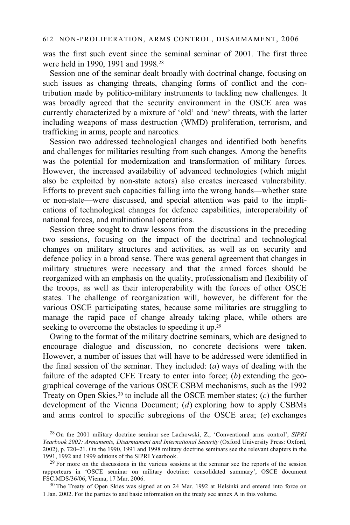was the first such event since the seminal seminar of 2001. The first three were held in 1990, 1991 and 1998.28

Session one of the seminar dealt broadly with doctrinal change, focusing on such issues as changing threats, changing forms of conflict and the contribution made by politico-military instruments to tackling new challenges. It was broadly agreed that the security environment in the OSCE area was currently characterized by a mixture of 'old' and 'new' threats, with the latter including weapons of mass destruction (WMD) proliferation, terrorism, and trafficking in arms, people and narcotics.

Session two addressed technological changes and identified both benefits and challenges for militaries resulting from such changes. Among the benefits was the potential for modernization and transformation of military forces. However, the increased availability of advanced technologies (which might also be exploited by non-state actors) also creates increased vulnerability. Efforts to prevent such capacities falling into the wrong hands—whether state or non-state—were discussed, and special attention was paid to the implications of technological changes for defence capabilities, interoperability of national forces, and multinational operations.

Session three sought to draw lessons from the discussions in the preceding two sessions, focusing on the impact of the doctrinal and technological changes on military structures and activities, as well as on security and defence policy in a broad sense. There was general agreement that changes in military structures were necessary and that the armed forces should be reorganized with an emphasis on the quality, professionalism and flexibility of the troops, as well as their interoperability with the forces of other OSCE states. The challenge of reorganization will, however, be different for the various OSCE participating states, because some militaries are struggling to manage the rapid pace of change already taking place, while others are seeking to overcome the obstacles to speeding it up.<sup>29</sup>

Owing to the format of the military doctrine seminars, which are designed to encourage dialogue and discussion, no concrete decisions were taken. However, a number of issues that will have to be addressed were identified in the final session of the seminar. They included: (*a*) ways of dealing with the failure of the adapted CFE Treaty to enter into force; (*b*) extending the geographical coverage of the various OSCE CSBM mechanisms, such as the 1992 Treaty on Open Skies,<sup>30</sup> to include all the OSCE member states;  $(c)$  the further development of the Vienna Document; (*d*) exploring how to apply CSBMs and arms control to specific subregions of the OSCE area; (*e*) exchanges

<sup>28</sup> On the 2001 military doctrine seminar see Lachowski, Z., 'Conventional arms control', *SIPRI Yearbook 2002: Armaments, Disarmament and International Security* (Oxford University Press: Oxford, 2002), p. 720–21. On the 1990, 1991 and 1998 military doctrine seminars see the relevant chapters in the 1991, 1992 and 1999 editions of the SIPRI Yearbook.

 $29$  For more on the discussions in the various sessions at the seminar see the reports of the session rapporteurs in 'OSCE seminar on military doctrine: consolidated summary', OSCE document FSC.MDS/36/06, Vienna, 17 Mar. 2006.

<sup>&</sup>lt;sup>30</sup> The Treaty of Open Skies was signed at on 24 Mar. 1992 at Helsinki and entered into force on 1 Jan. 2002. For the parties to and basic information on the treaty see annex A in this volume.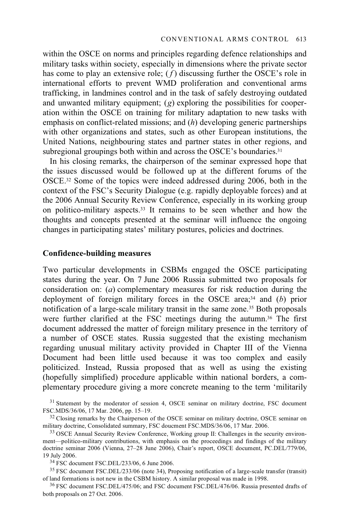within the OSCE on norms and principles regarding defence relationships and military tasks within society, especially in dimensions where the private sector has come to play an extensive role; (*f*) discussing further the OSCE's role in international efforts to prevent WMD proliferation and conventional arms trafficking, in landmines control and in the task of safely destroying outdated and unwanted military equipment; (*g*) exploring the possibilities for cooperation within the OSCE on training for military adaptation to new tasks with emphasis on conflict-related missions; and (*h*) developing generic partnerships with other organizations and states, such as other European institutions, the United Nations, neighbouring states and partner states in other regions, and subregional groupings both within and across the OSCE's boundaries.<sup>31</sup>

In his closing remarks, the chairperson of the seminar expressed hope that the issues discussed would be followed up at the different forums of the OSCE.32 Some of the topics were indeed addressed during 2006, both in the context of the FSC's Security Dialogue (e.g. rapidly deployable forces) and at the 2006 Annual Security Review Conference, especially in its working group on politico-military aspects.33 It remains to be seen whether and how the thoughts and concepts presented at the seminar will influence the ongoing changes in participating states' military postures, policies and doctrines.

#### **Confidence-building measures**

Two particular developments in CSBMs engaged the OSCE participating states during the year. On 7 June 2006 Russia submitted two proposals for consideration on: (*a*) complementary measures for risk reduction during the deployment of foreign military forces in the OSCE area;34 and (*b*) prior notification of a large-scale military transit in the same zone.35 Both proposals were further clarified at the FSC meetings during the autumn.36 The first document addressed the matter of foreign military presence in the territory of a number of OSCE states. Russia suggested that the existing mechanism regarding unusual military activity provided in Chapter III of the Vienna Document had been little used because it was too complex and easily politicized. Instead, Russia proposed that as well as using the existing (hopefully simplified) procedure applicable within national borders, a complementary procedure giving a more concrete meaning to the term 'militarily

 $35$  FSC document FSC.DEL/233/06 (note 34), Proposing notification of a large-scale transfer (transit) of land formations is not new in the CSBM history. A similar proposal was made in 1998.

<sup>36</sup> FSC document FSC.DEL/475/06; and FSC document FSC.DEL/476/06. Russia presented drafts of both proposals on 27 Oct. 2006.

 $31$  Statement by the moderator of session 4, OSCE seminar on military doctrine, FSC document FSC.MDS/36/06, 17 Mar. 2006, pp. 15–19.

 $^{32}$  Closing remarks by the Chairperson of the OSCE seminar on military doctrine, OSCE seminar on military doctrine, Consolidated summary, FSC doucment FSC.MDS/36/06, 17 Mar. 2006.

<sup>&</sup>lt;sup>33</sup> OSCE Annual Security Review Conference, Working group II: Challenges in the security environment—politico-military contributions, with emphasis on the proceedings and findings of the military doctrine seminar 2006 (Vienna, 27–28 June 2006), Chair's report, OSCE document, PC.DEL/779/06, 19 July 2006. 34 FSC document FSC.DEL/233/06, 6 June 2006.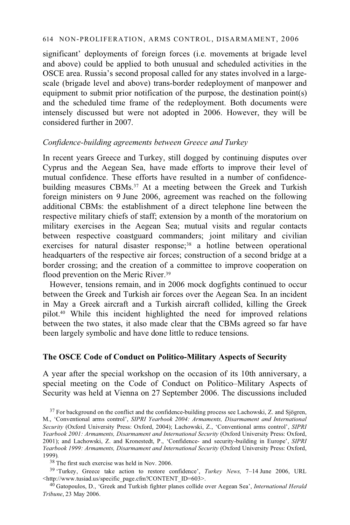#### 614 NON-PROLIFERATION, ARMS CONTROL, DISARMAMENT, 2006

significant' deployments of foreign forces (i.e. movements at brigade level and above) could be applied to both unusual and scheduled activities in the OSCE area. Russia's second proposal called for any states involved in a largescale (brigade level and above) trans-border redeployment of manpower and equipment to submit prior notification of the purpose, the destination point(s) and the scheduled time frame of the redeployment. Both documents were intensely discussed but were not adopted in 2006. However, they will be considered further in 2007.

# *Confidence-building agreements between Greece and Turkey*

In recent years Greece and Turkey, still dogged by continuing disputes over Cyprus and the Aegean Sea, have made efforts to improve their level of mutual confidence. These efforts have resulted in a number of confidencebuilding measures CBMs.37 At a meeting between the Greek and Turkish foreign ministers on 9 June 2006, agreement was reached on the following additional CBMs: the establishment of a direct telephone line between the respective military chiefs of staff; extension by a month of the moratorium on military exercises in the Aegean Sea; mutual visits and regular contacts between respective coastguard commanders; joint military and civilian exercises for natural disaster response;<sup>38</sup> a hotline between operational headquarters of the respective air forces; construction of a second bridge at a border crossing; and the creation of a committee to improve cooperation on flood prevention on the Meric River.<sup>39</sup>

However, tensions remain, and in 2006 mock dogfights continued to occur between the Greek and Turkish air forces over the Aegean Sea. In an incident in May a Greek aircraft and a Turkish aircraft collided, killing the Greek pilot.40 While this incident highlighted the need for improved relations between the two states, it also made clear that the CBMs agreed so far have been largely symbolic and have done little to reduce tensions.

# **The OSCE Code of Conduct on Politico-Military Aspects of Security**

A year after the special workshop on the occasion of its 10th anniversary, a special meeting on the Code of Conduct on Politico–Military Aspects of Security was held at Vienna on 27 September 2006. The discussions included

38 The first such exercise was held in Nov. 2006.

39 'Turkey, Greece take action to restore confidence', *Turkey News,* 7–14 June 2006, URL

<sup>40</sup> Gatopoulos, D., 'Greek and Turkish fighter planes collide over Aegean Sea', *International Herald Tribune*, 23 May 2006.

 $37$  For background on the conflict and the confidence-building process see Lachowski, Z. and Sjögren, M., 'Conventional arms control', *SIPRI Yearbook 2004: Armaments, Disarmament and International Security* (Oxford University Press: Oxford, 2004); Lachowski, Z., 'Conventional arms control', *SIPRI Yearbook 2001: Armaments, Disarmament and International Security* (Oxford University Press: Oxford, 2001); and Lachowski, Z. and Kronestedt, P., 'Confidence- and security-building in Europe', *SIPRI Yearbook 1999: Armaments, Disarmament and International Security* (Oxford University Press: Oxford, 1999)*.*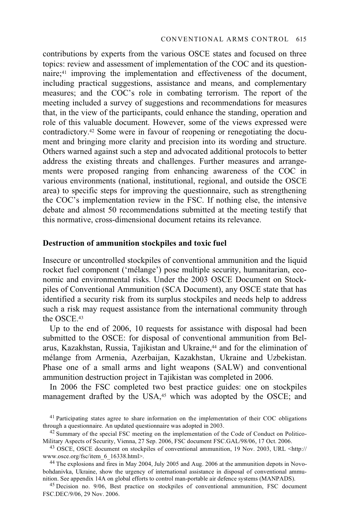contributions by experts from the various OSCE states and focused on three topics: review and assessment of implementation of the COC and its questionnaire;41 improving the implementation and effectiveness of the document, including practical suggestions, assistance and means, and complementary measures; and the COC's role in combating terrorism. The report of the meeting included a survey of suggestions and recommendations for measures that, in the view of the participants, could enhance the standing, operation and role of this valuable document. However, some of the views expressed were contradictory.42 Some were in favour of reopening or renegotiating the document and bringing more clarity and precision into its wording and structure. Others warned against such a step and advocated additional protocols to better address the existing threats and challenges. Further measures and arrangements were proposed ranging from enhancing awareness of the COC in various environments (national, institutional, regional, and outside the OSCE area) to specific steps for improving the questionnaire, such as strengthening the COC's implementation review in the FSC. If nothing else, the intensive debate and almost 50 recommendations submitted at the meeting testify that this normative, cross-dimensional document retains its relevance.

#### **Destruction of ammunition stockpiles and toxic fuel**

Insecure or uncontrolled stockpiles of conventional ammunition and the liquid rocket fuel component ('mélange') pose multiple security, humanitarian, economic and environmental risks. Under the 2003 OSCE Document on Stockpiles of Conventional Ammunition (SCA Document), any OSCE state that has identified a security risk from its surplus stockpiles and needs help to address such a risk may request assistance from the international community through the OSCE.43

Up to the end of 2006, 10 requests for assistance with disposal had been submitted to the OSCE: for disposal of conventional ammunition from Belarus, Kazakhstan, Russia, Tajikistan and Ukraine,<sup>44</sup> and for the elimination of mélange from Armenia, Azerbaijan, Kazakhstan, Ukraine and Uzbekistan. Phase one of a small arms and light weapons (SALW) and conventional ammunition destruction project in Tajikistan was completed in 2006.

In 2006 the FSC completed two best practice guides: one on stockpiles management drafted by the USA,<sup>45</sup> which was adopted by the OSCE; and

 $41$  Participating states agree to share information on the implementation of their COC obligations through a questionnaire. An updated questionnaire was adopted in 2003.

<sup>&</sup>lt;sup>42</sup> Summary of the special FSC meeting on the implementation of the Code of Conduct on Politico-Military Aspects of Security, Vienna, 27 Sep. 2006, FSC document FSC.GAL/98/06, 17 Oct. 2006.

<sup>&</sup>lt;sup>43</sup> OSCE, OSCE document on stockpiles of conventional ammunition, 19 Nov. 2003, URL <http:// www.osce.org/fsc/item\_6\_16338.html>.<br><sup>44</sup> The explosions and fires in May 2004, July 2005 and Aug. 2006 at the ammunition depots in Novo-

bohdanivka, Ukraine, show the urgency of international assistance in disposal of conventional ammu-<br>nition. See appendix 14A on global efforts to control man-portable air defence systems (MANPADS).

<sup>&</sup>lt;sup>45</sup> Decision no. 9/06, Best practice on stockpiles of conventional ammunition, FSC document FSC.DEC/9/06, 29 Nov. 2006.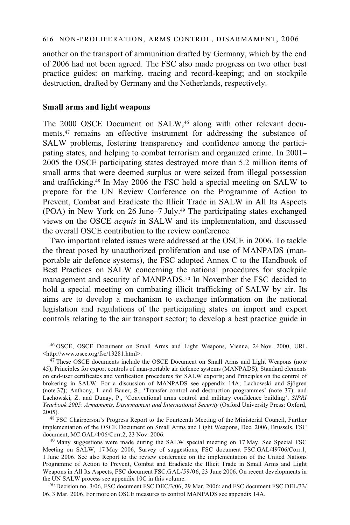another on the transport of ammunition drafted by Germany, which by the end of 2006 had not been agreed. The FSC also made progress on two other best practice guides: on marking, tracing and record-keeping; and on stockpile destruction, drafted by Germany and the Netherlands, respectively.

### **Small arms and light weapons**

The 2000 OSCE Document on SALW,<sup>46</sup> along with other relevant documents,47 remains an effective instrument for addressing the substance of SALW problems, fostering transparency and confidence among the participating states, and helping to combat terrorism and organized crime. In 2001– 2005 the OSCE participating states destroyed more than 5.2 million items of small arms that were deemed surplus or were seized from illegal possession and trafficking.48 In May 2006 the FSC held a special meeting on SALW to prepare for the UN Review Conference on the Programme of Action to Prevent, Combat and Eradicate the Illicit Trade in SALW in All Its Aspects (POA) in New York on 26 June–7 July.49 The participating states exchanged views on the OSCE *acquis* in SALW and its implementation, and discussed the overall OSCE contribution to the review conference.

Two important related issues were addressed at the OSCE in 2006. To tackle the threat posed by unauthorized proliferation and use of MANPADS (manportable air defence systems), the FSC adopted Annex C to the Handbook of Best Practices on SALW concerning the national procedures for stockpile management and security of MANPADS.50 In November the FSC decided to hold a special meeting on combating illicit trafficking of SALW by air. Its aims are to develop a mechanism to exchange information on the national legislation and regulations of the participating states on import and export controls relating to the air transport sector; to develop a best practice guide in

<sup>46</sup> OSCE, OSCE Document on Small Arms and Light Weapons, Vienna, 24 Nov. 2000, URL <http://www.osce.org/fsc/13281.html>.

 $47$  These OSCE documents include the OSCE Document on Small Arms and Light Weapons (note 45); Principles for export controls of man-portable air defence systems (MANPADS); Standard elements on end-user certificates and verification procedures for SALW exports; and Principles on the control of brokering in SALW. For a discussion of MANPADS see appendix 14A; Lachowski and Sjögren (note 37); Anthony, I. and Bauer, S., 'Transfer control and destruction programmes' (note 37); and Lachowski, Z. and Dunay, P., 'Conventional arms control and military confidence building', *SIPRI Yearbook 2005*: *Armaments, Disarmament and International Security* (Oxford University Press: Oxford, 2005). 48 FSC Chairperson's Progress Report to the Fourteenth Meeting of the Ministerial Council, Further

implementation of the OSCE Document on Small Arms and Light Weapons, Dec. 2006, Brussels, FSC

 $49$  Many suggestions were made during the SALW special meeting on 17 May. See Special FSC Meeting on SALW, 17 May 2006, Survey of suggestions, FSC document FSC.GAL/49706/Corr.1, 1 June 2006. See also Report to the review conference on the implementation of the United Nations Programme of Action to Prevent, Combat and Eradicate the Illicit Trade in Small Arms and Light Weapons in All Its Aspects, FSC document FSC.GAL/59/06, 23 June 2006. On recent developments in the UN SALW process see appendix 10C in this volume.

 $50$  Decision no. 3/06, FSC document FSC.DEC/3/06, 29 Mar. 2006; and FSC document FSC.DEL/33/ 06, 3 Mar. 2006. For more on OSCE measures to control MANPADS see appendix 14A.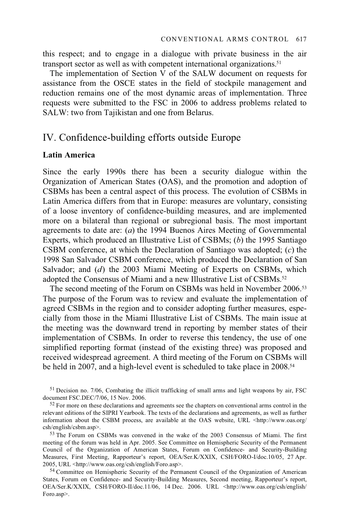this respect; and to engage in a dialogue with private business in the air transport sector as well as with competent international organizations.51

The implementation of Section V of the SALW document on requests for assistance from the OSCE states in the field of stockpile management and reduction remains one of the most dynamic areas of implementation. Three requests were submitted to the FSC in 2006 to address problems related to SALW: two from Tajikistan and one from Belarus.

# IV. Confidence-building efforts outside Europe

# **Latin America**

Since the early 1990s there has been a security dialogue within the Organization of American States (OAS), and the promotion and adoption of CSBMs has been a central aspect of this process. The evolution of CSBMs in Latin America differs from that in Europe: measures are voluntary, consisting of a loose inventory of confidence-building measures, and are implemented more on a bilateral than regional or subregional basis. The most important agreements to date are: (*a*) the 1994 Buenos Aires Meeting of Governmental Experts, which produced an Illustrative List of CSBMs; (*b*) the 1995 Santiago CSBM conference, at which the Declaration of Santiago was adopted; (*c*) the 1998 San Salvador CSBM conference, which produced the Declaration of San Salvador; and (*d*) the 2003 Miami Meeting of Experts on CSBMs, which adopted the Consensus of Miami and a new Illustrative List of CSBMs.<sup>52</sup>

The second meeting of the Forum on CSBMs was held in November 2006.53 The purpose of the Forum was to review and evaluate the implementation of agreed CSBMs in the region and to consider adopting further measures, especially from those in the Miami Illustrative List of CSBMs. The main issue at the meeting was the downward trend in reporting by member states of their implementation of CSBMs. In order to reverse this tendency, the use of one simplified reporting format (instead of the existing three) was proposed and received widespread agreement. A third meeting of the Forum on CSBMs will be held in 2007, and a high-level event is scheduled to take place in 2008.54

 $51$  Decision no. 7/06, Combating the illicit trafficking of small arms and light weapons by air, FSC document FSC.DEC/7/06, 15 Nov. 2006.

meeting of the forum was held in Apr. 2005. See Committee on Hemispheric Security of the Permanent Council of the Organization of American States, Forum on Confidence- and Security-Building Measures, First Meeting, Rapporteur's report, OEA/Ser.K/XXIX, CSH/FORO-I/doc.10/05, 27 Apr. 2005, URL <http://www.oas.org/csh/english/Foro.asp>.<br>
<sup>54</sup> Committee on Hemispheric Security of the Permanent Council of the Organization of American

States, Forum on Confidence- and Security-Building Measures, Second meeting, Rapporteur's report, OEA/Ser.K/XXIX, CSH/FORO-II/doc.11/06, 14 Dec. 2006. URL <http://www.oas.org/csh/english/ Foro.asp>.

 $52$  For more on these declarations and agreements see the chapters on conventional arms control in the relevant editions of the SIPRI Yearbook. The texts of the declarations and agreements, as well as further information about the CSBM process, are available at the OAS website, URL <http://www.oas.org/ csh/english/csbm.asp>. 53 The Forum on CSBMs was convened in the wake of the 2003 Consensus of Miami. The first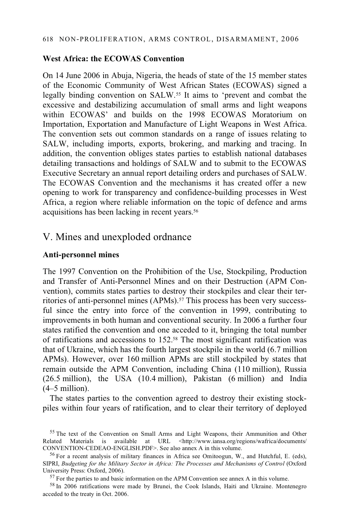# **West Africa: the ECOWAS Convention**

On 14 June 2006 in Abuja, Nigeria, the heads of state of the 15 member states of the Economic Community of West African States (ECOWAS) signed a legally binding convention on SALW.55 It aims to 'prevent and combat the excessive and destabilizing accumulation of small arms and light weapons within ECOWAS' and builds on the 1998 ECOWAS Moratorium on Importation, Exportation and Manufacture of Light Weapons in West Africa. The convention sets out common standards on a range of issues relating to SALW, including imports, exports, brokering, and marking and tracing. In addition, the convention obliges states parties to establish national databases detailing transactions and holdings of SALW and to submit to the ECOWAS Executive Secretary an annual report detailing orders and purchases of SALW. The ECOWAS Convention and the mechanisms it has created offer a new opening to work for transparency and confidence-building processes in West Africa, a region where reliable information on the topic of defence and arms acquisitions has been lacking in recent years.<sup>56</sup>

# V. Mines and unexploded ordnance

#### **Anti-personnel mines**

The 1997 Convention on the Prohibition of the Use, Stockpiling, Production and Transfer of Anti-Personnel Mines and on their Destruction (APM Convention), commits states parties to destroy their stockpiles and clear their territories of anti-personnel mines (APMs).<sup>57</sup> This process has been very successful since the entry into force of the convention in 1999, contributing to improvements in both human and conventional security. In 2006 a further four states ratified the convention and one acceded to it, bringing the total number of ratifications and accessions to 152.58 The most significant ratification was that of Ukraine, which has the fourth largest stockpile in the world (6.7 million APMs). However, over 160 million APMs are still stockpiled by states that remain outside the APM Convention, including China (110 million), Russia (26.5 million), the USA (10.4 million), Pakistan (6 million) and India (4–5 million).

The states parties to the convention agreed to destroy their existing stockpiles within four years of ratification, and to clear their territory of deployed

58 In 2006 ratifications were made by Brunei, the Cook Islands, Haiti and Ukraine. Montenegro acceded to the treaty in Oct. 2006.

<sup>&</sup>lt;sup>55</sup> The text of the Convention on Small Arms and Light Weapons, their Ammunition and Other Related Materials is available at URL <http://www.iansa.org/regions/wafrica/documents/<br>CONVENTION-CEDEAO-ENGLISH.PDF>. See also annex A in this volume.

 $56$  For a recent analysis of military finances in Africa see Omitoogun, W., and Hutchful, E. (eds), SIPRI, *Budgeting for the Military Sector in Africa: The Processes and Mechanisms of Control* (Oxford University Press: Oxford, 2006). <sup>57</sup> For the parties to and basic information on the APM Convention see annex A in this volume.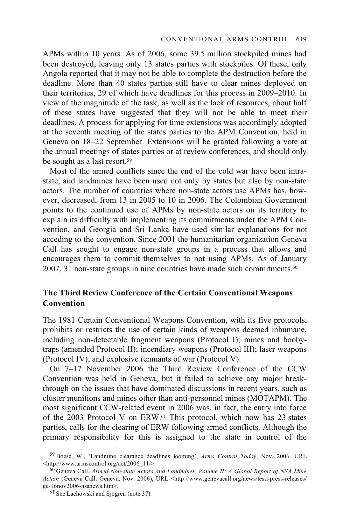APMs within 10 years. As of 2006, some 39.5 million stockpiled mines had been destroyed, leaving only 13 states parties with stockpiles. Of these, only Angola reported that it may not be able to complete the destruction before the deadline. More than 40 states parties still have to clear mines deployed on their territories, 29 of which have deadlines for this process in 2009–2010. In view of the magnitude of the task, as well as the lack of resources, about half of these states have suggested that they will not be able to meet their deadlines. A process for applying for time extensions was accordingly adopted at the seventh meeting of the states parties to the APM Convention, held in Geneva on 18–22 September. Extensions will be granted following a vote at the annual meetings of states parties or at review conferences, and should only be sought as a last resort.59

Most of the armed conflicts since the end of the cold war have been intrastate, and landmines have been used not only by states but also by non-state actors. The number of countries where non-state actors use APMs has, however, decreased, from 13 in 2005 to 10 in 2006. The Colombian Government points to the continued use of APMs by non-state actors on its territory to explain its difficulty with implementing its commitments under the APM Convention, and Georgia and Sri Lanka have used similar explanations for not acceding to the convention. Since 2001 the humanitarian organization Geneva Call has sought to engage non-state groups in a process that allows and encourages them to commit themselves to not using APMs. As of January 2007, 31 non-state groups in nine countries have made such commitments.<sup>60</sup>

# **The Third Review Conference of the Certain Conventional Weapons Convention**

The 1981 Certain Conventional Weapons Convention, with its five protocols, prohibits or restricts the use of certain kinds of weapons deemed inhumane, including non-detectable fragment weapons (Protocol I); mines and boobytraps (amended Protocol II); incendiary weapons (Protocol III); laser weapons (Protocol IV); and explosive remnants of war (Protocol V).

On 7–17 November 2006 the Third Review Conference of the CCW Convention was held in Geneva, but it failed to achieve any major breakthrough on the issues that have dominated discussions in recent years, such as cluster munitions and mines other than anti-personnel mines (MOTAPM). The most significant CCW-related event in 2006 was, in fact, the entry into force of the 2003 Protocol V on ERW.61 This protocol, which now has 23 states parties, calls for the clearing of ERW following armed conflicts. Although the primary responsibility for this is assigned to the state in control of the

<sup>59</sup> Boese, W., 'Landmine clearance deadlines looming', *Arms Control Today*, Nov. 2006. URL <http://www.armscontrol.org/act/2006\_11/>. 60 Geneva Call, *Armed Non-state Actors and Landmines, Volume II: A Global Report of NSA Mine* 

Action (Geneva Call: Geneva, Nov. 2006), URL <http://www.genevacall.org/news/testi-press-releases/ gc-16nov2006-nsanews.htm>. 61 See Lachowski and Sjögren (note 37).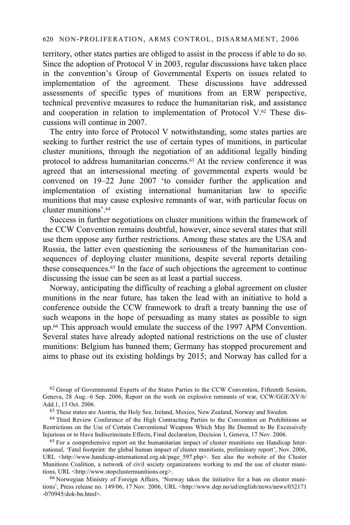territory, other states parties are obliged to assist in the process if able to do so. Since the adoption of Protocol V in 2003, regular discussions have taken place in the convention's Group of Governmental Experts on issues related to implementation of the agreement. These discussions have addressed assessments of specific types of munitions from an ERW perspective, technical preventive measures to reduce the humanitarian risk, and assistance and cooperation in relation to implementation of Protocol V.62 These discussions will continue in 2007.

The entry into force of Protocol V notwithstanding, some states parties are seeking to further restrict the use of certain types of munitions, in particular cluster munitions, through the negotiation of an additional legally binding protocol to address humanitarian concerns.<sup>63</sup> At the review conference it was agreed that an intersessional meeting of governmental experts would be convened on 19–22 June 2007 'to consider further the application and implementation of existing international humanitarian law to specific munitions that may cause explosive remnants of war, with particular focus on cluster munitions'.64

Success in further negotiations on cluster munitions within the framework of the CCW Convention remains doubtful, however, since several states that still use them oppose any further restrictions. Among these states are the USA and Russia, the latter even questioning the seriousness of the humanitarian consequences of deploying cluster munitions, despite several reports detailing these consequences.65 In the face of such objections the agreement to continue discussing the issue can be seen as at least a partial success.

Norway, anticipating the difficulty of reaching a global agreement on cluster munitions in the near future, has taken the lead with an initiative to hold a conference outside the CCW framework to draft a treaty banning the use of such weapons in the hope of persuading as many states as possible to sign up.66 This approach would emulate the success of the 1997 APM Convention. Several states have already adopted national restrictions on the use of cluster munitions: Belgium has banned them; Germany has stopped procurement and aims to phase out its existing holdings by 2015; and Norway has called for a

<sup>62</sup> Group of Governmental Experts of the States Parties to the CCW Convention, Fifteenth Session, Geneva, 28 Aug.–6 Sep. 2006, Report on the work on explosive remnants of war, CCW/GGE/XV/6/ Add.1, 13 Oct. 2006.<br><sup>63</sup> These states are Austria, the Holy See, Ireland, Mexico, New Zealand, Norway and Sweden.

64 Third Review Conference of the High Contracting Parties to the Convention on Prohibitions or Restrictions on the Use of Certain Conventional Weapons Which May Be Deemed to Be Excessively Injurious or to Have Indiscriminate Effects, Final declaration, Decision 1, Geneva, 17 Nov. 2006.

 $65$  For a comprehensive report on the humanitarian impact of cluster munitions see Handicap International, 'Fatal footprint: the global human impact of cluster munitions, preliminary report', Nov. 2006, URL <http://www.handicap-international.org.uk/page\_597.php>. See also the website of the Cluster Munitions Coalition, a network of civil society organizations working to end the use of cluster munitions, URL <http://www.stopclustermunitions.org>.

<sup>66</sup> Norwegian Ministry of Foreign Affairs, 'Norway takes the initiative for a ban on cluster munitions', Press release no. 149/06, 17 Nov. 2006, URL <http://www.dep.no/ud/english/news/news/032171 -070945/dok-bn.html>.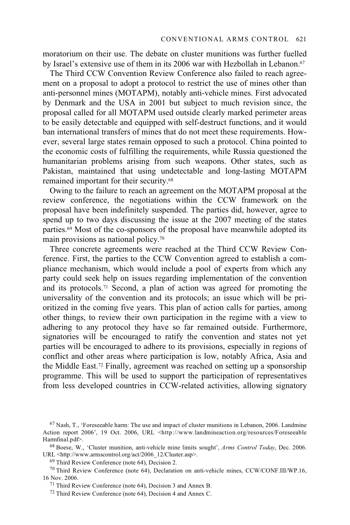moratorium on their use. The debate on cluster munitions was further fuelled by Israel's extensive use of them in its 2006 war with Hezbollah in Lebanon.<sup>67</sup>

The Third CCW Convention Review Conference also failed to reach agreement on a proposal to adopt a protocol to restrict the use of mines other than anti-personnel mines (MOTAPM), notably anti-vehicle mines. First advocated by Denmark and the USA in 2001 but subject to much revision since, the proposal called for all MOTAPM used outside clearly marked perimeter areas to be easily detectable and equipped with self-destruct functions, and it would ban international transfers of mines that do not meet these requirements. However, several large states remain opposed to such a protocol. China pointed to the economic costs of fulfilling the requirements, while Russia questioned the humanitarian problems arising from such weapons. Other states, such as Pakistan, maintained that using undetectable and long-lasting MOTAPM remained important for their security.68

Owing to the failure to reach an agreement on the MOTAPM proposal at the review conference, the negotiations within the CCW framework on the proposal have been indefinitely suspended. The parties did, however, agree to spend up to two days discussing the issue at the 2007 meeting of the states parties.69 Most of the co-sponsors of the proposal have meanwhile adopted its main provisions as national policy.70

Three concrete agreements were reached at the Third CCW Review Conference. First, the parties to the CCW Convention agreed to establish a compliance mechanism, which would include a pool of experts from which any party could seek help on issues regarding implementation of the convention and its protocols.71 Second, a plan of action was agreed for promoting the universality of the convention and its protocols; an issue which will be prioritized in the coming five years. This plan of action calls for parties, among other things, to review their own participation in the regime with a view to adhering to any protocol they have so far remained outside. Furthermore, signatories will be encouraged to ratify the convention and states not yet parties will be encouraged to adhere to its provisions, especially in regions of conflict and other areas where participation is low, notably Africa, Asia and the Middle East.72 Finally, agreement was reached on setting up a sponsorship programme. This will be used to support the participation of representatives from less developed countries in CCW-related activities, allowing signatory

 $67$  Nash, T., 'Foreseeable harm: The use and impact of cluster munitions in Lebanon, 2006. Landmine Action report 2006', 19 Oct. 2006, URL <http://www.landmineaction.org/resources/Foreseeable Harmfinal.pdf>.<br><sup>68</sup> Boese, W., 'Cluster munition, anti-vehicle mine limits sought', *Arms Control Today*, Dec. 2006.

URL <http://www.armscontrol.org/act/2006\_12/Cluster.asp>. 69 Third Review Conference (note 64), Decision 2.

<sup>&</sup>lt;sup>70</sup> Third Review Conference (note 64), Declaration on anti-vehicle mines, CCW/CONF.III/WP.16, 16 Nov. 2006.

 $171$  Third Review Conference (note 64), Decision 3 and Annex B.

<sup>72</sup> Third Review Conference (note 64), Decision 4 and Annex C.